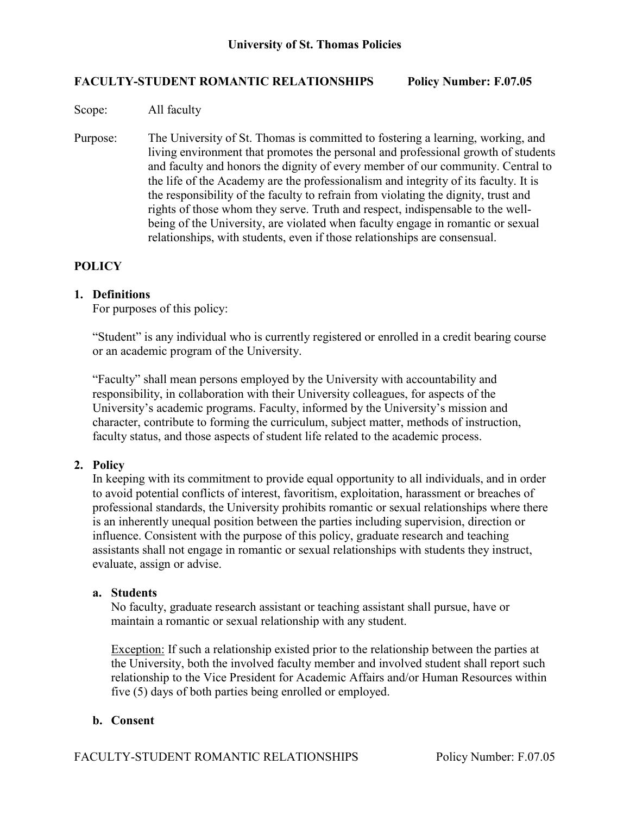## **FACULTY-STUDENT ROMANTIC RELATIONSHIPS Policy Number: F.07.05**

Scope: All faculty

Purpose: The University of St. Thomas is committed to fostering a learning, working, and living environment that promotes the personal and professional growth of students and faculty and honors the dignity of every member of our community. Central to the life of the Academy are the professionalism and integrity of its faculty. It is the responsibility of the faculty to refrain from violating the dignity, trust and rights of those whom they serve. Truth and respect, indispensable to the wellbeing of the University, are violated when faculty engage in romantic or sexual relationships, with students, even if those relationships are consensual.

# **POLICY**

## **1. Definitions**

For purposes of this policy:

"Student" is any individual who is currently registered or enrolled in a credit bearing course or an academic program of the University.

"Faculty" shall mean persons employed by the University with accountability and responsibility, in collaboration with their University colleagues, for aspects of the University's academic programs. Faculty, informed by the University's mission and character, contribute to forming the curriculum, subject matter, methods of instruction, faculty status, and those aspects of student life related to the academic process.

### **2. Policy**

In keeping with its commitment to provide equal opportunity to all individuals, and in order to avoid potential conflicts of interest, favoritism, exploitation, harassment or breaches of professional standards, the University prohibits romantic or sexual relationships where there is an inherently unequal position between the parties including supervision, direction or influence. Consistent with the purpose of this policy, graduate research and teaching assistants shall not engage in romantic or sexual relationships with students they instruct, evaluate, assign or advise.

### **a. Students**

No faculty, graduate research assistant or teaching assistant shall pursue, have or maintain a romantic or sexual relationship with any student.

Exception: If such a relationship existed prior to the relationship between the parties at the University, both the involved faculty member and involved student shall report such relationship to the Vice President for Academic Affairs and/or Human Resources within five (5) days of both parties being enrolled or employed.

# **b. Consent**